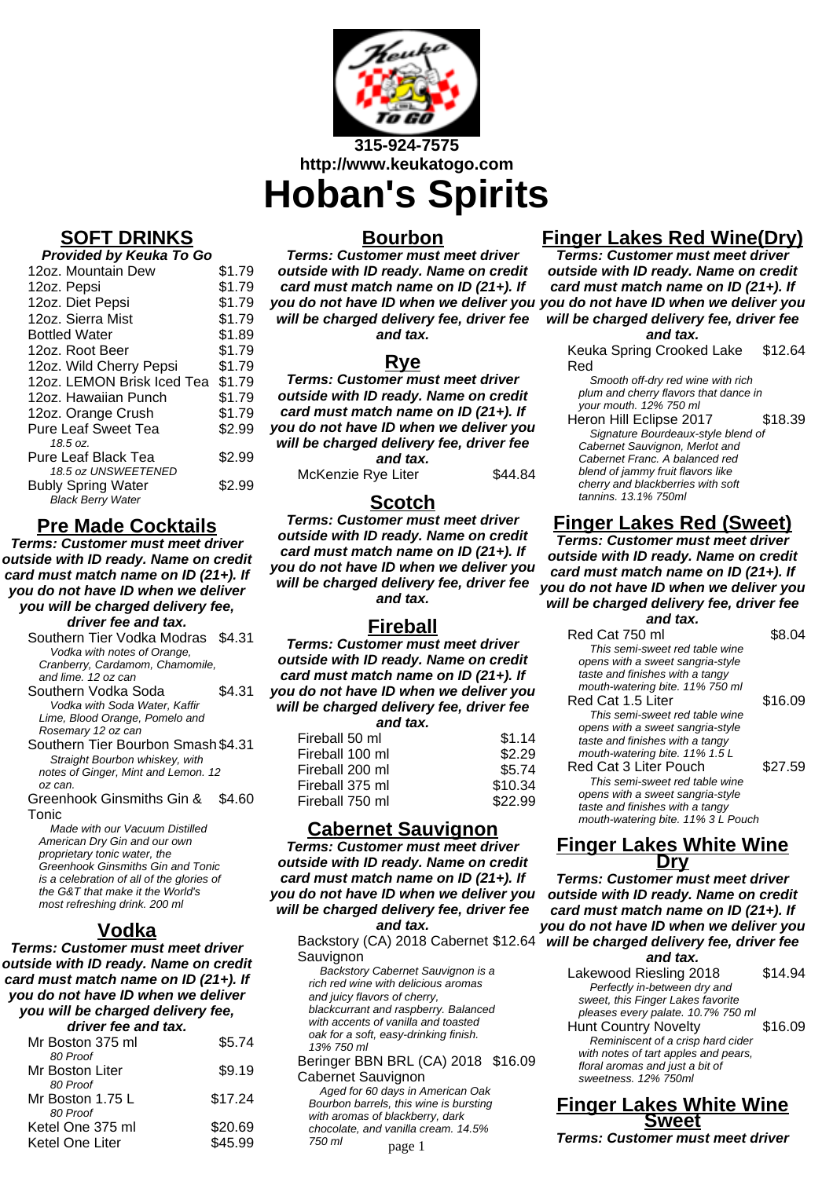

**SOFT DRINKS**

**Provided by Keuka To Go**

| <u>FIUVIUCU DY NEUNA TU GU</u> |        |
|--------------------------------|--------|
| 12oz. Mountain Dew             | \$1.79 |
| 12oz. Pepsi                    | \$1.79 |
| 12oz. Diet Pepsi               | \$1.79 |
| 12oz. Sierra Mist              | \$1.79 |
| <b>Bottled Water</b>           | \$1.89 |
| 12oz. Root Beer                | \$1.79 |
| 12oz. Wild Cherry Pepsi        | \$1.79 |
| 12oz. LEMON Brisk Iced Tea     | \$1.79 |
| 12oz. Hawaiian Punch           | \$1.79 |
| 12oz. Orange Crush             | \$1.79 |
| <b>Pure Leaf Sweet Tea</b>     | \$2.99 |
| 18.5 oz.                       |        |
| Pure Leaf Black Tea            | \$2.99 |
| 18.5 oz UNSWEETENED            |        |
| <b>Bubly Spring Water</b>      | \$2.99 |
| <b>Black Berry Water</b>       |        |

## **Pre Made Cocktails**

**Terms: Customer must meet driver outside with ID ready. Name on credit card must match name on ID (21+). If you do not have ID when we deliver you will be charged delivery fee, driver fee and tax.**

Southern Tier Vodka Modras \$4.31 Vodka with notes of Orange, Cranberry, Cardamom, Chamomile, and lime. 12 oz can

Southern Vodka Soda \$4.31 Vodka with Soda Water, Kaffir Lime, Blood Orange, Pomelo and Rosemary 12 oz can

Southern Tier Bourbon Smash \$4.31 Straight Bourbon whiskey, with notes of Ginger, Mint and Lemon. 12 oz can.

Greenhook Ginsmiths Gin & Tonic \$4.60

Made with our Vacuum Distilled American Dry Gin and our own proprietary tonic water, the Greenhook Ginsmiths Gin and Tonic is a celebration of all of the glories of the G&T that make it the World's most refreshing drink. 200 ml

## **Vodka**

**Terms: Customer must meet driver outside with ID ready. Name on credit card must match name on ID (21+). If you do not have ID when we deliver you will be charged delivery fee, driver fee and tax.**

| unver lee allu lax. |         |
|---------------------|---------|
| Mr Boston 375 ml    | \$5.74  |
| 80 Proof            |         |
| Mr Boston Liter     | \$9.19  |
| 80 Proof            |         |
| Mr Boston 1.75 L    | \$17.24 |
| 80 Proof            |         |
| Ketel One 375 ml    | \$20.69 |
| Ketel One Liter     | \$45.99 |
|                     |         |

### **Bourbon**

**Terms: Customer must meet driver outside with ID ready. Name on credit card must match name on ID (21+). If you do not have ID when we deliver you you do not have ID when we deliver you will be charged delivery fee, driver fee and tax.**

## **Rye**

**Terms: Customer must meet driver outside with ID ready. Name on credit card must match name on ID (21+). If you do not have ID when we deliver you will be charged delivery fee, driver fee and tax.** McKenzie Rye Liter \$44.84

## **Scotch**

**Terms: Customer must meet driver outside with ID ready. Name on credit card must match name on ID (21+). If you do not have ID when we deliver you will be charged delivery fee, driver fee and tax.**

## **Fireball**

**Terms: Customer must meet driver outside with ID ready. Name on credit card must match name on ID (21+). If you do not have ID when we deliver you will be charged delivery fee, driver fee**

**and tax.**

| Fireball 50 ml  | \$1.14  |
|-----------------|---------|
| Fireball 100 ml | \$2.29  |
| Fireball 200 ml | \$5.74  |
| Fireball 375 ml | \$10.34 |
| Fireball 750 ml | \$22.99 |

## **Cabernet Sauvignon**

**Terms: Customer must meet driver outside with ID ready. Name on credit card must match name on ID (21+). If you do not have ID when we deliver you will be charged delivery fee, driver fee and tax.**

Backstory (CA) 2018 Cabernet \$12.64 will be charged delivery fee, driver fee Sauvignon

Backstory Cabernet Sauvignon is a rich red wine with delicious aromas and juicy flavors of cherry, blackcurrant and raspberry. Balanced with accents of vanilla and toasted oak for a soft, easy-drinking finish. 13% 750 ml

Beringer BBN BRL (CA) 2018 \$16.09 Cabernet Sauvignon

Aged for 60 days in American Oak Bourbon barrels, this wine is bursting with aromas of blackberry, dark chocolate, and vanilla cream. 14.5% 750 ml

# **Finger Lakes Red Wine(Dry)**

**Terms: Customer must meet driver outside with ID ready. Name on credit card must match name on ID (21+). If will be charged delivery fee, driver fee**

#### **and tax.**

Keuka Spring Crooked Lake Red \$12.64

Smooth off-dry red wine with rich plum and cherry flavors that dance in your mouth. 12% 750 ml

Heron Hill Eclipse 2017 \$18.39 Signature Bourdeaux-style blend of Cabernet Sauvignon, Merlot and Cabernet Franc. A balanced red blend of jammy fruit flavors like cherry and blackberries with soft tannins. 13.1% 750ml

# **Finger Lakes Red (Sweet)**

**Terms: Customer must meet driver outside with ID ready. Name on credit card must match name on ID (21+). If you do not have ID when we deliver you will be charged delivery fee, driver fee and tax.**

| Red Cat 750 ml                     | S8 04   |
|------------------------------------|---------|
| This semi-sweet red table wine     |         |
| opens with a sweet sangria-style   |         |
| taste and finishes with a tangy    |         |
| mouth-watering bite. 11% 750 ml    |         |
| Red Cat 1.5 Liter                  | \$16.09 |
| This semi-sweet red table wine     |         |
| opens with a sweet sangria-style   |         |
| taste and finishes with a tangy    |         |
| mouth-watering bite. 11% 1.5 L     |         |
| Red Cat 3 Liter Pouch              | \$27.59 |
| This semi-sweet red table wine     |         |
| opens with a sweet sangria-style   |         |
| taste and finishes with a tangy    |         |
| mouth-watering bite. 11% 3 L Pouch |         |
|                                    |         |

### **Finger Lakes White Wine Dry**

**Terms: Customer must meet driver outside with ID ready. Name on credit card must match name on ID (21+). If you do not have ID when we deliver you**

#### **and tax.**

Lakewood Riesling 2018 \$14.94 Perfectly in-between dry and sweet, this Finger Lakes favorite pleases every palate. 10.7% 750 ml Hunt Country Novelty \$16.09 Reminiscent of a crisp hard cider with notes of tart apples and pears, floral aromas and just a bit of sweetness. 12% 750ml

**Finger Lakes White Wine Sweet**

**Terms: Customer must meet driver** page 1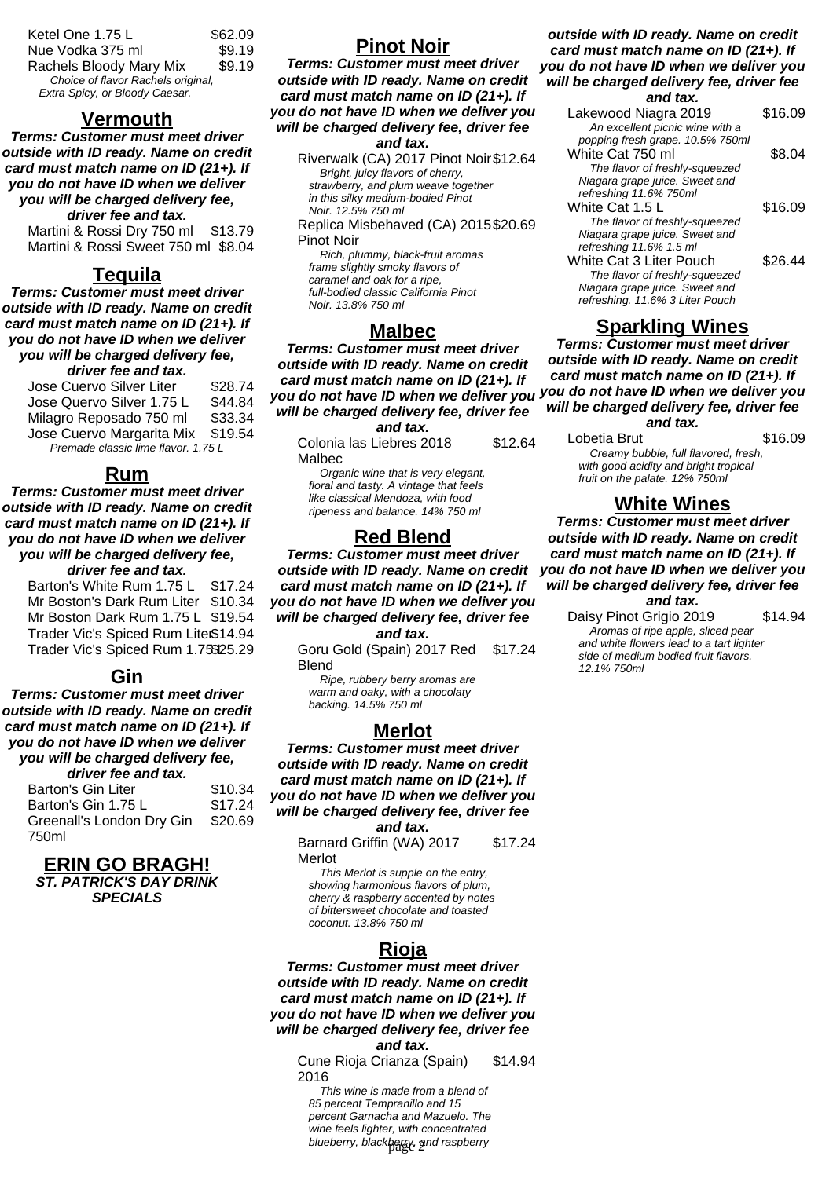| Ketel One 1.75 L                   | \$62.09 |
|------------------------------------|---------|
| Nue Vodka 375 ml                   | \$9.19  |
| Rachels Bloody Mary Mix            | \$9.19  |
| Choice of flavor Rachels original, |         |
| Extra Spicy, or Bloody Caesar.     |         |

#### **Vermouth**

**Terms: Customer must meet driver outside with ID ready. Name on credit card must match name on ID (21+). If you do not have ID when we deliver you will be charged delivery fee, driver fee and tax.**

Martini & Rossi Dry 750 ml \$13.79 Martini & Rossi Sweet 750 ml \$8.04

### **Tequila**

**Terms: Customer must meet driver outside with ID ready. Name on credit card must match name on ID (21+). If you do not have ID when we deliver you will be charged delivery fee, driver fee and tax.**

Jose Cuervo Silver Liter \$28.74 Jose Quervo Silver 1.75 L \$44.84 Milagro Reposado 750 ml \$33.34 Jose Cuervo Margarita Mix \$19.54 Premade classic lime flavor. 1.75 L

**Rum**

**Terms: Customer must meet driver outside with ID ready. Name on credit card must match name on ID (21+). If you do not have ID when we deliver you will be charged delivery fee, driver fee and tax.**

Barton's White Rum 1.75 L \$17.24 Mr Boston's Dark Rum Liter \$10.34 Mr Boston Dark Rum 1.75 L \$19.54 Trader Vic's Spiced Rum Liter\$14.94 Trader Vic's Spiced Rum 1.75\$25.29

### **Gin**

**Terms: Customer must meet driver outside with ID ready. Name on credit card must match name on ID (21+). If you do not have ID when we deliver you will be charged delivery fee,**

**driver fee and tax.**

Barton's Gin Liter \$10.34 Barton's Gin 1.75 L \$17.24 Greenall's London Dry Gin 750ml \$20.69

**ERIN GO BRAGH! ST. PATRICK'S DAY DRINK SPECIALS**

### **Pinot Noir**

**Terms: Customer must meet driver outside with ID ready. Name on credit card must match name on ID (21+). If you do not have ID when we deliver you will be charged delivery fee, driver fee and tax.**

Riverwalk (CA) 2017 Pinot Noir\$12.64 Bright, juicy flavors of cherry, strawberry, and plum weave together in this silky medium-bodied Pinot Noir. 12.5% 750 ml

Replica Misbehaved (CA) 2015 \$20.69 Pinot Noir

Rich, plummy, black-fruit aromas frame slightly smoky flavors of caramel and oak for a ripe, full-bodied classic California Pinot Noir. 13.8% 750 ml

### **Malbec**

**Terms: Customer must meet driver outside with ID ready. Name on credit card must match name on ID (21+). If you do not have ID when we deliver you you do not have ID when we deliver you will be charged delivery fee, driver fee**

**and tax.**

| anu tax.                 |         |
|--------------------------|---------|
| Colonia las Liebres 2018 | \$12.64 |
| Malbec                   |         |

Organic wine that is very elegant, floral and tasty. A vintage that feels like classical Mendoza, with food ripeness and balance. 14% 750 ml

#### **Red Blend**

**Terms: Customer must meet driver outside with ID ready. Name on credit card must match name on ID (21+). If you do not have ID when we deliver you will be charged delivery fee, driver fee and tax.**

> Goru Gold (Spain) 2017 Red Blend \$17.24

Ripe, rubbery berry aromas are warm and oaky, with a chocolaty backing. 14.5% 750 ml

#### **Merlot**

**Terms: Customer must meet driver outside with ID ready. Name on credit card must match name on ID (21+). If you do not have ID when we deliver you will be charged delivery fee, driver fee and tax.**

Barnard Griffin (WA) 2017 Merlot \$17.24

This Merlot is supple on the entry, showing harmonious flavors of plum, cherry & raspberry accented by notes of bittersweet chocolate and toasted coconut. 13.8% 750 ml

### **Rioja**

**Terms: Customer must meet driver outside with ID ready. Name on credit card must match name on ID (21+). If you do not have ID when we deliver you will be charged delivery fee, driver fee and tax.**

Cune Rioja Crianza (Spain) 2016 \$14.94

This wine is made from a blend of 85 percent Tempranillo and 15 percent Garnacha and Mazuelo. The wine feels lighter, with concentrated blueberry, blackbary, and raspberry

#### **outside with ID ready. Name on credit card must match name on ID (21+). If you do not have ID when we deliver you will be charged delivery fee, driver fee**

#### **and tax.**

| Lakewood Niagra 2019             | \$16.09 |
|----------------------------------|---------|
| An excellent picnic wine with a  |         |
| popping fresh grape. 10.5% 750ml |         |
| White Cat 750 ml                 | \$8.04  |
| The flavor of freshly-squeezed   |         |
| Niagara grape juice. Sweet and   |         |
| refreshing 11.6% 750ml           |         |
| White Cat 1.5 L                  | \$16.09 |
| The flavor of freshly-squeezed   |         |
| Niagara grape juice. Sweet and   |         |
| refreshing 11.6% 1.5 ml          |         |
| White Cat 3 Liter Pouch          | \$26.44 |
| The flavor of freshly-squeezed   |         |
| Niagara grape juice. Sweet and   |         |
| refreshing. 11.6% 3 Liter Pouch  |         |

### **Sparkling Wines**

**Terms: Customer must meet driver outside with ID ready. Name on credit card must match name on ID (21+). If will be charged delivery fee, driver fee and tax.**

Lobetia Brut \$16.09 Creamy bubble, full flavored, fresh, with good acidity and bright tropical fruit on the palate. 12% 750ml

### **White Wines**

**Terms: Customer must meet driver outside with ID ready. Name on credit card must match name on ID (21+). If you do not have ID when we deliver you will be charged delivery fee, driver fee**

#### **and tax.**

Daisy Pinot Grigio 2019 \$14.94 Aromas of ripe apple, sliced pear and white flowers lead to a tart lighter side of medium bodied fruit flavors. 12.1% 750ml